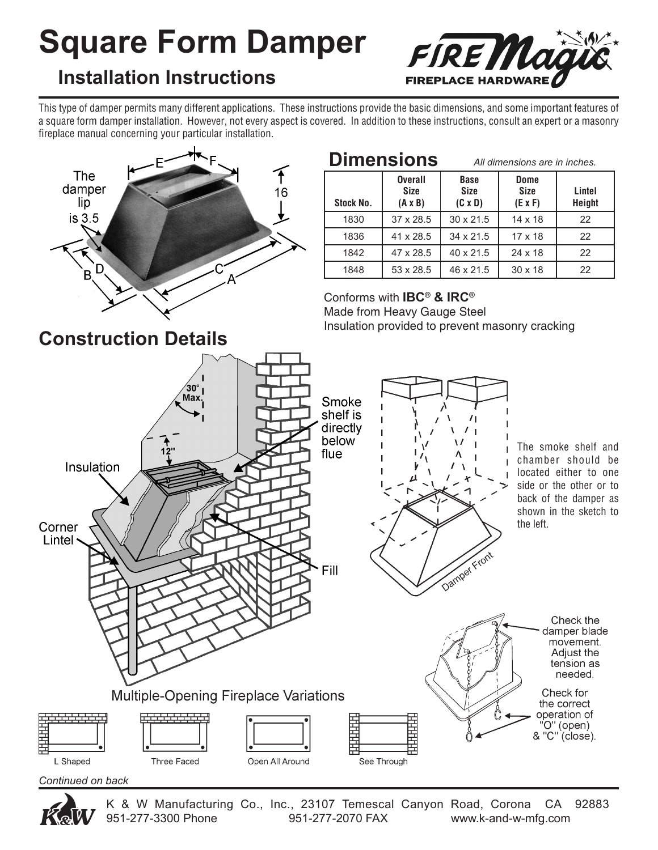# **Square Form Damper**



### **Installation Instructions**

This type of damper permits many different applications. These instructions provide the basic dimensions, and some important features of a square form damper installation. However, not every aspect is covered. In addition to these instructions, consult an expert or a masonry fireplace manual concerning your particular installation.



| <b>Dimensions</b> |                                                 | All dimensions are in inches.                |                                              |                  |
|-------------------|-------------------------------------------------|----------------------------------------------|----------------------------------------------|------------------|
| Stock No.         | <b>Overall</b><br><b>Size</b><br>$(A \times B)$ | <b>Base</b><br><b>Size</b><br>$(C \times D)$ | <b>Dome</b><br><b>Size</b><br>$(E \times F)$ | Lintel<br>Height |
| 1830              | 37 x 28.5                                       | $30 \times 21.5$                             | $14 \times 18$                               | 22               |
| 1836              | 41 x 28.5                                       | 34 x 21.5                                    | $17 \times 18$                               | 22               |
| 1842              | 47 x 28.5                                       | 40 x 21.5                                    | $24 \times 18$                               | 22               |
| 1848              | 53 x 28.5                                       | 46 x 21.5                                    | $30 \times 18$                               | 22               |

Conforms with **IBC® & IRC®**  Made from Heavy Gauge Steel Insulation provided to prevent masonry cracking





K & W Manufacturing Co., Inc., 23107 Temescal Canyon Road, Corona CA 92883<br>951-277-3300 Phone 951-277-2070 FAX www.k-and-w-mfa.com 951-277-2070 FAX www.k-and-w-mfg.com